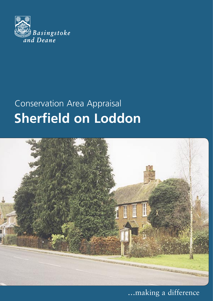

# Conservation Area Appraisal



**...**making a difference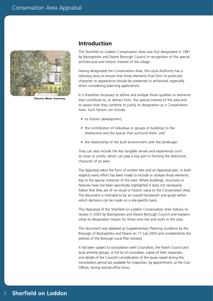

*Sherrens Mead, Greenway*

#### **Introduction**

The Sherfield on Loddon Conservation Area was first designated in 1981 by Basingstoke and Deane Borough Council in recognition of the special architectural and historic interest of the village.

Having designated the Conservation Area, the Local Authority has a statutory duty to ensure that those elements that form its particular character or appearance should be preserved or enhanced, especially when considering planning applications.

It is therefore necessary to define and analyse those qualities or elements that contribute to, or detract from, the special interest of the area and to assess how they combine to justify its designation as a Conservation Area. Such factors can include:

- its historic development;
- the contribution of individual or groups of buildings to the streetscene and the spaces that surround them; and
- the relationship of the built environment with the landscape.

They can also include the less tangible senses and experiences such as noise or smells, which can play a key part in forming the distinctive character of an area.

The Appraisal takes the form of written text and an Appraisal plan. In both respects every effort has been made to include or analyse those elements key to the special character of the area. Where buildings, structures or features have not been specifically highlighted it does not necessarily follow that they are of no visual or historic value to the Conservation Area. The document is intended to be an overall framework and guide within which decisions can be made on a site-specific basis.

This Appraisal of the Sherfield on Loddon Conservation Area follows its review in 2003 by Basingstoke and Deane Borough Council and explains what its designation means for those who live and work in the area.

This document was adopted as Supplementary Planning Guidance by the Borough of Basingstoke and Deane on 17 July 2003 and complements the policies of the Borough Local Plan (review).

It has been subject to consultation with Councillors, the Parish Council and local amenity groups. A full list of consultees, copies of their responses, and details of the Council's consideration of the issues raised during the consultation period are available for inspection, by appointment, at the Civic Offices, during normal office hours.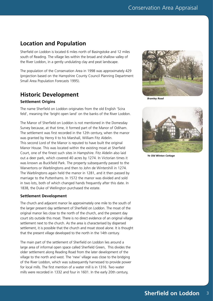## **Location and Population**

Sherfield on Loddon is located 6 miles north of Basingstoke and 12 miles south of Reading. The village lies within the broad and shallow valley of the River Loddon, in a gently undulating clay and peat landscape.

The population of the Conservation Area in 1998 was approximately 429 (projection based on the Hampshire County Council Planning Department Small Area Population Forecasts 1995).

## **Historic Development**

#### **Settlement Origins**

The name Sherfield on Loddon originates from the old English 'Scira feld', meaning the 'bright open land' on the banks of the River Loddon.

The Manor of Sherfield on Loddon is not mentioned in the Domesday Survey because, at that time, it formed part of the Manor of Odiham. The settlement was first recorded in the 12th century, when the manor was granted by Henry II to his Marshall, William Fitz Aldelin. This second Lord of the Manor is reputed to have built the original Manor House. This was located within the existing moat at Sherfield Court, one of the finest such sites in Hampshire. Fitz Aldelin also laid out a deer park, which covered 40 acres by 1274. In Victorian times it was known as Buckfield Park. The property subsequently passed to the Warvertons or Warblingtons and then to John de Wintershill in 1274. The Warblingtons again held the manor in 1281, and it then passed by marriage to the Puttenhams. In 1572 the manor was divided and sold in two lots, both of which changed hands frequently after this date. In 1838, the Duke of Wellington purchased the estate.

#### **Settlement Development**

The church and adjacent manor lie approximately one mile to the south of the larger present day settlement of Sherfield on Loddon. The moat of the original manor lies close to the north of the church, and the present day court sits outside this moat. There is no direct evidence of an original village settlement next to the church. As the area is characterised by dispersed settlement, it is possible that the church and moat stood alone. It is thought that the present village developed to the north in the 14th century.

The main part of the settlement of Sherfield on Loddon lies around a large area of informal open space called Sherfield Green, This divides the older settlement along Reading Road from the later development of the village to the north and west. The 'new' village was close to the bridging of the River Loddon, which was subsequently harnessed to provide power for local mills. The first mention of a water mill is in 1316. Two water mills were recorded in 1332 and four in 1601. In the early 20th century,



*Bramley Road* 



*Ye Old Winton Cottage*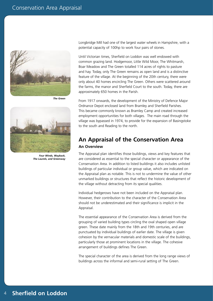

*The Green*



*Four Winds, Wayback, The Laurels, and Greenway*

Longbridge Mill had one of the largest water wheels in Hampshire, with a potential capacity of 100hp to work four pairs of stones.

Until Victorian times, Sherfield on Loddon was well endowed with common grazing land. Hodgemoor, Little Wild Moor, The Whitmarsh, Boar Meadow and The Green totalled 114 acres of rights to pasture and hay. Today, only The Green remains as open land and is a distinctive feature of the village. At the beginning of the 20th century, there were only about 40 homes encircling The Green. Others were scattered around the farms, the manor and Sherfield Court to the south. Today, there are approximately 650 homes in the Parish.

From 1917 onwards, the development of the Ministry of Defence Major Ordnance Depot enclosed land from Bramley and Sherfield Parishes. This became commonly known as Bramley Camp and created increased employment opportunities for both villages. The main road through the village was bypassed in 1974, to provide for the expansion of Basingstoke to the south and Reading to the north.

#### **An Appraisal of the Conservation Area An Overview**

The Appraisal plan identifies those buildings, views and key features that are considered as essential to the special character or appearance of the Conservation Area. In addition to listed buildings it also includes unlisted buildings of particular individual or group value, which are indicated on the Appraisal plan as notable. This is not to undermine the value of other unmarked buildings or structures that reflect the historic development of the village without detracting from its special qualities.

Individual hedgerows have not been included on the Appraisal plan. However, their contribution to the character of the Conservation Area should not be underestimated and their significance is implicit in the Appraisal.

The essential appearance of the Conservation Area is derived from the grouping of varied building types circling the oval shaped open village green. These date mainly from the 18th and 19th centuries, and are punctuated by individual buildings of earlier date. The village is given cohesion by the vernacular materials and domestic scale of the buildings, particularly those at prominent locations in the village. The cohesive arrangement of buildings defines The Green.

The special character of the area is derived from the long range views of buildings across the informal and semi-rural setting of The Green.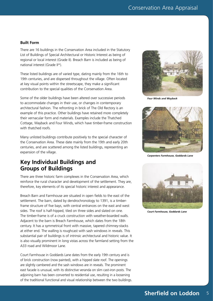#### **Built Form**

There are 16 buildings in the Conservation Area included in the Statutory List of Buildings of Special Architectural or Historic Interest as being of regional or local interest (Grade II). Breach Barn is included as being of national interest (Grade II\*).

These listed buildings are of varied type, dating mainly from the 16th to 19th centuries, and are dispersed throughout the village. Often located at key visual points within the streetscape, they make a significant contribution to the special qualities of the Conservation Area.

Some of the older buildings have been altered over successive periods to accommodate changes in their use, or changes in contemporary architectural fashion. The refronting in brick of The Old Rectory is an example of this practice. Other buildings have retained more completely their vernacular form and materials. Examples include the Thatched Cottage, Wayback and Four Winds, which have timber-frame construction with thatched roofs.

Many unlisted buildings contribute positively to the special character of the Conservation Area. These date mainly from the 19th and early 20th centuries, and are scattered among the listed buildings, representing an expansion of the village.

#### **Key Individual Buildings and Groups of Buildings**

There are three historic farm complexes in the Conservation Area, which reinforce the rural character and development of the settlement. They are, therefore, key elements of its special historic interest and appearance.

Breach Barn and Farmhouse are situated in open fields to the east of the settlement. The barn, dated by dendrochronology to 1391, is a timberframe structure of five bays, with central entrances on the east and west sides. The roof is half-hipped, tiled on three sides and slated on one. The timber-frame is of a cruck construction with weather-boarded walls. Adjacent to the barn is Breach Farmhouse, which dates from the 18th century. It has a symmetrical front with massive, tapered chimney-stacks at either end. The walling is roughcast with sash windows in reveals. This substantial pair of buildings is of intrinsic architectural and historic value. It is also visually prominent in long vistas across the farmland setting from the A33 road and Wildmoor Lane.

Court Farmhouse in Goddards Lane dates from the early 19th century and is of brick construction (now painted), with a hipped slate roof. The openings are slightly cambered and the sash windows are in reveals. The prominent east facade is unusual, with its distinctive veranda on slim cast-iron posts. The adjoining barn has been converted to residential use, resulting in a loosening of the traditional functional and visual relationship between the two buildings.



*Four Winds and Wayback*



*Carpenters Farmhouse, Goddards Lane*



*Court Farmhouse, Goddards Lane*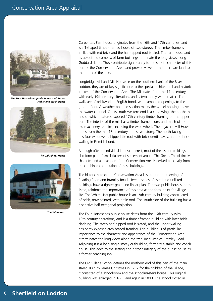

*The Four Horseshoes public house and former stable and coach-house*



*The Old School House*



*The White Hart*

Carpenters Farmhouse originates from the 16th and 17th centuries, and is a T-shaped timber-framed house of two-storeys. The timber-frame is infilled with red brick and the half-hipped roof is tiled. The farmhouse and its associated complex of farm buildings terminate the long views along Goddards Lane. They contribute significantly to the special character of this part of the Conservation Area, and provide views to the open farmland to the north of the lane.

Longbridge Mill and Mill House lie on the southern bank of the River Loddon, they are of key significance to the special architectural and historic interest of the Conservation Area. The Mill dates from the 17th century, with early 19th century alterations and is two-storey with an attic. The walls are of brickwork in English bond, with cambered openings to the ground floor. A weather-boarded section marks the wheel housing above the water channel. On its south-western end is a cross wing, the northern end of which features exposed 17th century timber framing on the upper part. The interior of the mill has a timber-framed core, and much of the old machinery remains, including the wide wheel. The adjacent Mill House dates from the mid-18th century and is two-storey. The north-facing front has four windows, a hipped tile roof with brick dentil eaves, and red brick walling in Flemish bond.

Although often of individual intrinsic interest, most of the historic buildings also form part of small clusters of settlement around The Green. The distinctive character and appearance of the Conservation Area is derived principally from the combined contribution of these buildings.

The historic core of the Conservation Area lies around the meeting of Reading Road and Bramley Road. Here, a series of listed and unlisted buildings have a tighter grain and linear plan. The two public houses, both listed, reinforce the importance of this area as the focal point for village life. The White Hart public house is an 18th century building constructed of brick, now painted, with a tile roof. The south side of the building has a distinctive half octagonal projection.

The Four Horseshoes public house dates from the 16th century with 19th century alterations, and is a timber-framed building with later brick cladding. The steep half-hipped roof is slated, and the upper walling has partly exposed arch braced framing. This building is of particular importance to the character and appearance of the Conservation Area. It terminates the long views along the tree-lined vista of Bramley Road. Adjoining it is a long single-storey outbuilding, formerly a stable and coach house. This adds to the setting and historic integrity of the public house as a former coaching inn.

The Old Village School defines the northern end of this part of the main street. Built by James Christmas in 1737 for the children of the village, it consisted of a schoolroom and the schoolmaster's house. This original building was enlarged in 1863 and again in 1893. The school closed in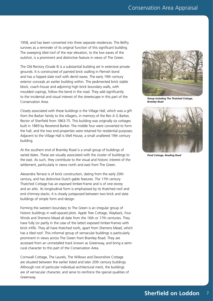1958, and has been converted into three separate residences. The Belfry survives as a reminder of its original function of this significant building. The sweeping tiled roof of the rear elevation, to the low eaves of the outshot, is a prominent and distinctive feature in views of The Green.

The Old Rectory (Grade II) is a substantial building set in extensive private grounds. It is constructed of painted brick walling in Flemish bond and has a hipped slate roof with dentil eaves. The early 19th century exterior conceals an earlier building within. The pedimented brick stable block, coach-house and adjoining high brick boundary walls, with moulded copings, follow the bend in the road. They add significantly to the incidental and visual interest of the streetscape in this part of the Conservation Area.

Closely associated with these buildings is the Village Hall, which was a gift from the Barker family to the villagers, in memory of the Rev A G Barker, Rector of Sherfield from 1863-75. This building was originally six cottages built in 1869 by Reverend Barker. The middle four were converted to form the hall, and the two end properties were retained for residential purposes. Adjacent to the Village Hall is Well House, a small unaltered 19th century building.

At the southern end of Bramley Road is a small group of buildings of varied dates. These are visually associated with the cluster of buildings to the east. As such, they contribute to the visual and historic interest of the settlement, particularly in views north and east from The Green.

Alexandra Terrace is of brick construction, dating from the early 20th century, and has distinctive Dutch gable features. The 17th century Thatched Cottage has an exposed timber-frame and is of one-storey and an attic. Its longitudinal form is emphasised by its thatched roof and end chimney-stacks. It is closely juxtaposed between two brick and slate buildings of simple form and design.

Forming the western boundary to The Green is an irregular group of historic buildings in well-spaced plots. Apple Tree Cottage, Wayback, Four Winds and Sherrens Mead all date from the 16th or 17th centuries. They have fully (or partly in the case of the latter) exposed timber-frames with brick infills. They all have thatched roofs, apart from Sherrens Mead, which has a tiled roof. This informal group of vernacular buildings is particularly prominent in views across The Green from Bramley Road. They are accessed from an unmetalled track known as Greenway, and bring a semirural character to this part of the Conservation Area.

Cornwall Cottage, The Laurels, The Willows and Devonshire Cottage are situated between the earlier listed and later 20th century buildings. Although not of particular individual architectural merit, the buildings are of vernacular character, and serve to reinforce the special qualities of Greenway.



*Group including The Thatched Cottage, Bramley Road*



*Pond Cottage, Reading Road*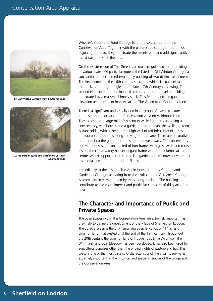

*Ye Old Winton Cottage from Goddards Lane*



*Listed garden walls and Gardeners Cottage, Wildmoor Lane*

Wheeler's Court and Pond Cottage lie at the southern end of the Conservation Area. Together with the picturesque setting of the ponds adjoining the road, they punctuate the streetscene, and add significantly to the visual interest of the area.

On the western side of The Green is a small, irregular cluster of buildings of various dates. Of particular note is the listed Ye Old Winton Cottage, a substantial, timber-framed two-storey building of two distinctive elements. The first element is the 16th century structure, which lies parallel to the track, and at right angles to the later 17th Century cross-wing. The second element is the dominant, tiled roof slope of the earlier building, punctuated by a massive chimney-stack. This feature and the gable elevation are prominent in views across The Green from Goddards Lane.

There is a significant and visually dominant group of listed structures in the southern corner of the Conservation Area on Wildmoor Lane. These comprise a large mid-19th century walled garden containing a conservatory, vine houses and a garden house. In plan, the walled garden is trapezoidal, with a three metre high wall of red brick. Part of this is in rat trap bond, and runs along the verge of the lane. There are decorative entrances into the garden on the south and west walls. The conservatory and vine houses are constructed of iron frames with glass walls and roofs. Inside, the conservatory has an elegant frame with four columns at the centre, which support a clerestorey. The garden houses, now converted to residential use, are of red brick in Flemish bond.

Immediately to the east are The Apple House, Laundry Cottage and Gardeners Cottage, all dating from the 19th century. Gardeners Cottage is prominent in views framed by trees along the lane. The buildings contribute to the visual interest and particular character of this part of the area.

#### **The Character and Importance of Public and Private Spaces**

The open spaces within this Conservation Area are extremely important, as they help to define the development of the village of Sherfield on Loddon. The 36 acre Green is the only remaining open land, out of 114 acres of common land, that existed until the end of the 19th century. Throughout the 20th century, the common land of Hodgemoor, Little Wildmoor, The Whitmarsh and Boar Meadow has been developed. It has also been used for agricultural purposes other than the original rights of pasture and hay. This space is one of the most distinctive characteristics of the area. Its survival is extremely important to the historical and special character of the village and the Conservation Area.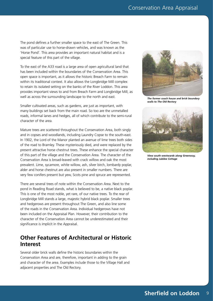The pond defines a further smaller space to the east of The Green. This was of particular use to horse-drawn vehicles, and was known as the 'Horse Pond'. This area provides an important natural habitat and is a special feature of this part of the village.

To the east of the A33 road is a large area of open agricultural land that has been included within the boundaries of the Conservation Area. This open space is important, as it allows the historic Breach Farm to remain within its traditional context. It also allows the Longbridge Mill complex to retain its isolated setting on the banks of the River Loddon. This area provides important views to and from Breach Farm and Longbridge Mill, as well as across the surrounding landscape to the north and east.

Smaller cultivated areas, such as gardens, are just as important, with many buildings set back from the main road. So too are the unmetalled roads, informal lanes and hedges, all of which contribute to the semi-rural character of the area.

Mature trees are scattered throughout the Conservation Area, both singly and in copses and woodlands, including Laundry Copse to the south-east. In 1902, the Lord of the Manor planted an avenue of lime trees both sides of the road to Bramley. These mysteriously died, and were replaced by the present attractive horse chestnut trees. These enhance the special character of this part of the village and the Conservation Area. The character of the Conservation Area is broad-leaved with crack willow and oak the most prevalent. Lime, sycamore, white willow, ash, silver birch, lombardy poplar, alder and horse chestnut are also present in smaller numbers. There are very few conifers present but yew, Scots pine and spruce are represented.

There are several trees of note within the Conservation Area. Next to the pond in Reading Road stands, what is believed to be, a native black poplar. This is one of the most noble, yet rare, of our native trees. To the rear of Longbridge Mill stands a large, majestic hybrid black poplar. Smaller trees and hedgerows are present throughout The Green, and also line some of the roads in the Conservation Area. Individual hedgerows have not been included on the Appraisal Plan. However, their contribution to the character of the Conservation Area cannot be underestimated and their significance is implicit in the Appraisal.

#### **Other Features of Architectural or Historic Interest**

Several older brick walls define the historic boundaries within the Conservation Area and are, therefore, important in adding to the grain and character of the area. Examples include those to the Village Hall and adjacent properties and The Old Rectory.



*The former coach house and brick boundary walls to The Old Rectory*



*View south-westwards along Greenway, including Jubilee Cottage*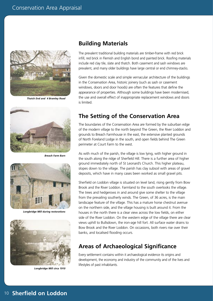

*Thatch End and 4 Bramley Road*



*Breach Farm Barn*



*Longbridge Mill during restorations*



*Longbridge Mill circa 1910*

#### **Building Materials**

The prevalent traditional building materials are timber-frame with red brick infill, red brick in Flemish and English bond and painted brick. Roofing materials include red clay tile, slate and thatch. Both casement and sash windows are prevalent, and many older buildings have large central or end chimney-stacks.

Given the domestic scale and simple vernacular architecture of the buildings in the Conservation Area, historic joinery (such as sash or casement windows, doors and door hoods) are often the features that define the appearance of properties. Although some buildings have been modernised, the use and overall effect of inappropriate replacement windows and doors is limited.

### **The Setting of the Conservation Area**

The boundaries of the Conservation Area are formed by the suburban edge of the modern village to the north beyond The Green, the River Loddon and grounds to Breach Farmhouse in the east, the extensive planted grounds of North Foreland Lodge in the south, and open fields behind The Green perimeter at Court Farm to the west.

As with much of the parish, the village is low lying, with higher ground in the south along the ridge of Sherfield Hill. There is a further area of higher ground immediately north of St Leonard's Church. This higher plateau, slopes down to the village. The parish has clay subsoil with areas of gravel deposits, which have in many cases been worked as small gravel pits.

Sherfield on Loddon village is situated on level land, rising gently from Bow Brook and the River Loddon. Farmland to the south overlooks the village. The trees and hedgerows in and around give some shelter to the village from the prevailing southerly winds. The Green, of 36 acres, is the main landscape feature of the village. This has a mature horse chestnut avenue on the northern side, and the village housing is built around it. From the houses in the north there is a clear view across the low fields, on either side of the River Loddon. On the western edge of the village there are clear views uphill to Bullsdown, the iron-age hill fort. All surface water drains to Bow Brook and the River Loddon. On occasions, both rivers rise over their banks, and localised flooding occurs.

#### **Areas of Archaeological Significance**

Every settlement contains within it archaeological evidence its origins and development, the economy and industry of the community and of the lives and lifestyles of past inhabitants.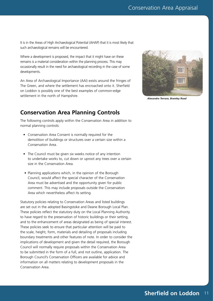It is in the Areas of High Archaeological Potential (AHAP) that it is most likely that such archaeological remains will be encountered.

Where a development is proposed, the impact that it might have on these remains is a material consideration within the planning process. This may occasionally result in the need for archaeological recording in the case of some developments.

An Area of Archaeological Importance (AAI) exists around the fringes of The Green, and where the settlement has encroached onto it. Sherfield on Loddon is possibly one of the best examples of common-edge settlement in the north of Hampshire.



*Alexandra Terrace, Bramley Road*

## **Conservation Area Planning Controls**

The following controls apply within the Conservation Area in addition to normal planning controls:

- Conservation Area Consent is normally required for the demolition of buildings or structures over a certain size within a Conservation Area.
- The Council must be given six weeks notice of any intention to undertake works to, cut down or uproot any trees over a certain size in the Conservation Area.
- Planning applications which, in the opinion of the Borough Council, would affect the special character of the Conservation Area must be advertised and the opportunity given for public comment. This may include proposals outside the Conservation Area which nevertheless affect its setting.

Statutory policies relating to Conservation Areas and listed buildings are set out in the adopted Basingstoke and Deane Borough Local Plan. These policies reflect the statutory duty on the Local Planning Authority to have regard to the preservation of historic buildings or their setting, and to the enhancement of areas designated as being of special interest. These policies seek to ensure that particular attention will be paid to the scale, height, form, materials and detailing of proposals including boundary treatments and other features of note. In order to consider the implications of development and given the detail required, the Borough Council will normally require proposals within the Conservation Area to be submitted in the form of a full, and not outline, application. The Borough Council's Conservation Officers are available for advice and information on all matters relating to development proposals in the Conservation Area.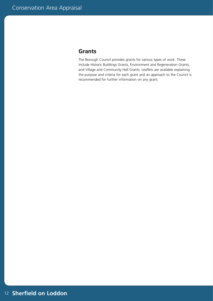#### **Grants**

The Borough Council provides grants for various types of work. These include Historic Buildings Grants, Environment and Regeneration Grants, and Village and Community Hall Grants. Leaflets are available explaining the purpose and criteria for each grant and an approach to the Council is recommended for further information on any grant.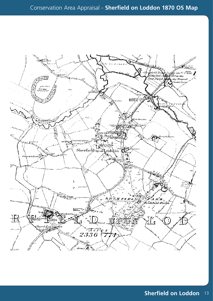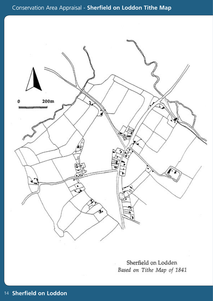

Sherfield on Lodden Based on Tithe Map of 1841